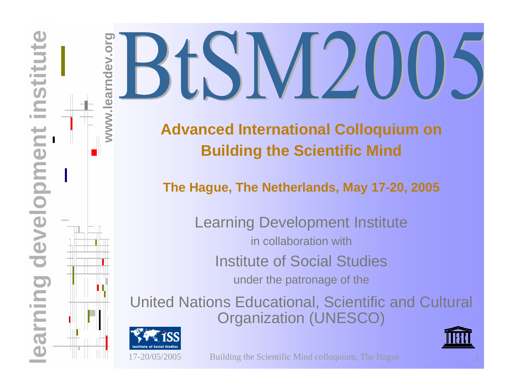# **www.learndev.org learning Development Institute**<br> **learning Development Institute**<br> **learning Development Institute**<br> **learning Development Institute**<br> **learning Development Institute**<br> **learning Development Institute**<br> **learning Developm WIDEST M200**

### **Building the Scientific Mind**

**The Hague, The Netherlands, May 17-20, 2005**

Learning Development Institute in collaboration withInstitute of Social Studies under the patronage of the

[United Nations Educational, Scientific and Cultural](http://www.learndev.org/Unesco.html)  Organization (UNESCO)



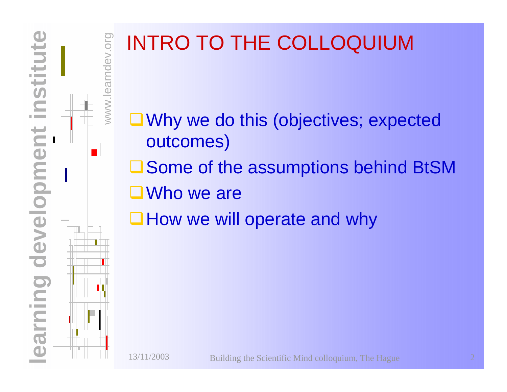## www.learndev.org INTRO TO THE COLLOQUIUM

- **O**Why we do this (objectives; expected outcomes)
- **□ Some of the assumptions behind BtSM**
- ■Who we are
- $\Box$  How we will operate and why

**learning development institute**

arning development

**nstitute** 

ndev.org

WWW.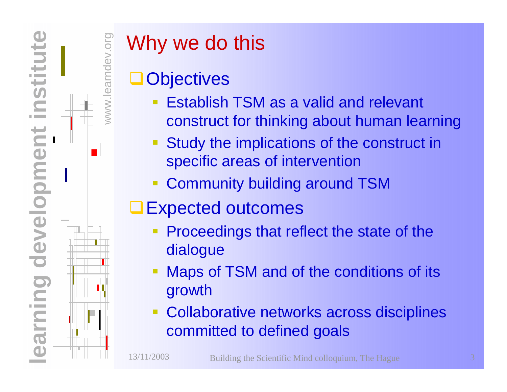

earndev.org

#### Why we do this

#### **Objectives**

- Establish TSM as a valid and relevant construct for thinking about human learning
- Study the implications of the construct in specific areas of intervention
- Community building around TSM
- **□Expected outcomes** 
	- Proceedings that reflect the state of the dialogue
	- Maps of TSM and of the conditions of its growth
	- Collaborative networks across disciplines committed to defined goals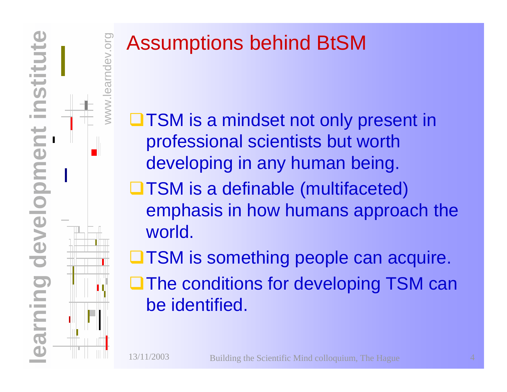

**NWW** 

ndev.org

#### Assumptions behind BtSM

- **□TSM** is a mindset not only present in professional scientists but worth developing in any human being. **□TSM is a definable (multifaceted)** emphasis in how humans approach the world.
- **OTSM** is something people can acquire. **The conditions for developing TSM can** be identified.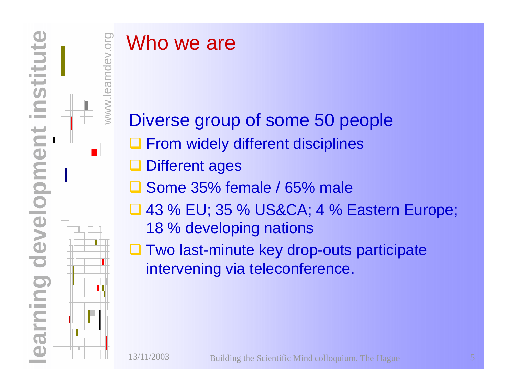

**NNW** 

#### Who we are

Diverse group of some 50 people **Q** From widely different disciplines **Q** Different ages □ Some 35% female / 65% male  $\Box$  43 % EU; 35 % US&CA; 4 % Eastern Europe; 18 % developing nations **Q Two last-minute key drop-outs participate** intervening via teleconference.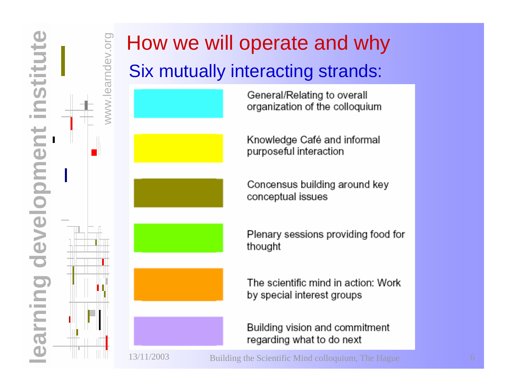**learning development institute** institute earning development

www.learndev.org

www.learndev.org

#### How we will operate and why Six mutually interacting strands:







General/Relating to overall organization of the colloquium

Knowledge Café and informal purposeful interaction

Concensus building around key conceptual issues

Plenary sessions providing food for thought

The scientific mind in action: Work by special interest groups

Building vision and commitment regarding what to do next

13/11/2003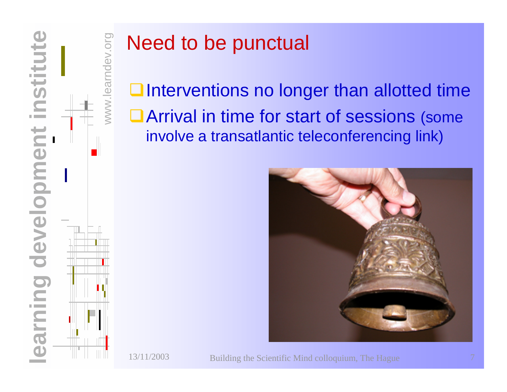

www.learndev.org

#### Need to be punctual

 $\Box$  Interventions no longer than allotted time ■ Arrival in time for start of sessions (some involve a transatlantic teleconferencing link)



Building the Scientific Mind colloquium, The Hague